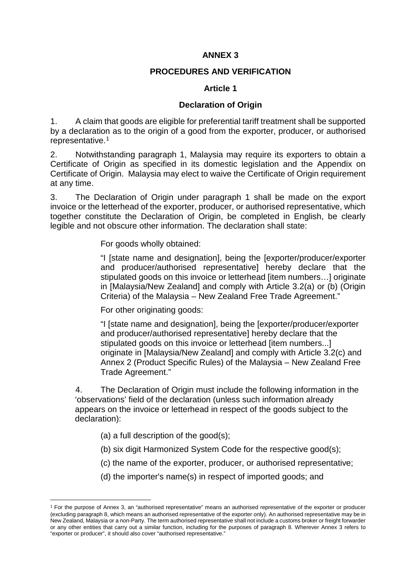## **ANNEX 3**

## **PROCEDURES AND VERIFICATION**

## **Article 1**

## **Declaration of Origin**

1. A claim that goods are eligible for preferential tariff treatment shall be supported by a declaration as to the origin of a good from the exporter, producer, or authorised representative.[1](#page-0-0)

2. Notwithstanding paragraph 1, Malaysia may require its exporters to obtain a Certificate of Origin as specified in its domestic legislation and the Appendix on Certificate of Origin. Malaysia may elect to waive the Certificate of Origin requirement at any time.

3. The Declaration of Origin under paragraph 1 shall be made on the export invoice or the letterhead of the exporter, producer, or authorised representative, which together constitute the Declaration of Origin, be completed in English, be clearly legible and not obscure other information. The declaration shall state:

For goods wholly obtained:

"I [state name and designation], being the [exporter/producer/exporter and producer/authorised representative] hereby declare that the stipulated goods on this invoice or letterhead [item numbers…] originate in [Malaysia/New Zealand] and comply with Article 3.2(a) or (b) (Origin Criteria) of the Malaysia – New Zealand Free Trade Agreement."

For other originating goods:

"I [state name and designation], being the [exporter/producer/exporter and producer/authorised representative] hereby declare that the stipulated goods on this invoice or letterhead [item numbers...] originate in [Malaysia/New Zealand] and comply with Article 3.2(c) and Annex 2 (Product Specific Rules) of the Malaysia – New Zealand Free Trade Agreement."

4. The Declaration of Origin must include the following information in the 'observations' field of the declaration (unless such information already appears on the invoice or letterhead in respect of the goods subject to the declaration):

(a) a full description of the good(s);

-

- (b) six digit Harmonized System Code for the respective good(s);
- (c) the name of the exporter, producer, or authorised representative;
- (d) the importer's name(s) in respect of imported goods; and

<span id="page-0-0"></span><sup>1</sup> For the purpose of Annex 3, an "authorised representative" means an authorised representative of the exporter or producer (excluding paragraph 8, which means an authorised representative of the exporter only). An authorised representative may be in New Zealand, Malaysia or a non-Party. The term authorised representative shall not include a customs broker or freight forwarder or any other entities that carry out a similar function, including for the purposes of paragraph 8. Wherever Annex 3 refers to "exporter or producer", it should also cover "authorised representative."